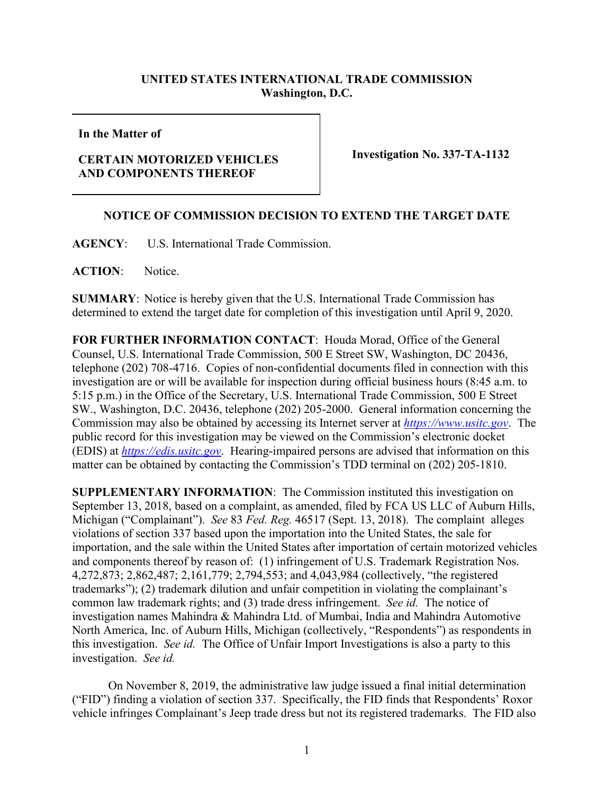## **UNITED STATES INTERNATIONAL TRADE COMMISSION Washington, D.C.**

**In the Matter of**

## **CERTAIN MOTORIZED VEHICLES AND COMPONENTS THEREOF**

**Investigation No. 337-TA-1132**

## **NOTICE OF COMMISSION DECISION TO EXTEND THE TARGET DATE**

**AGENCY**: U.S. International Trade Commission.

**ACTION**: Notice.

**SUMMARY**: Notice is hereby given that the U.S. International Trade Commission has determined to extend the target date for completion of this investigation until April 9, 2020.

**FOR FURTHER INFORMATION CONTACT**: Houda Morad, Office of the General Counsel, U.S. International Trade Commission, 500 E Street SW, Washington, DC 20436, telephone (202) 708-4716. Copies of non-confidential documents filed in connection with this investigation are or will be available for inspection during official business hours (8:45 a.m. to 5:15 p.m.) in the Office of the Secretary, U.S. International Trade Commission, 500 E Street SW., Washington, D.C. 20436, telephone (202) 205-2000. General information concerning the Commission may also be obtained by accessing its Internet server at *[https://www.usitc.gov](https://www.usitc.gov/)*. The public record for this investigation may be viewed on the Commission's electronic docket (EDIS) at *[https://edis.usitc.gov](http://edis.usitc.gov/)*. Hearing-impaired persons are advised that information on this matter can be obtained by contacting the Commission's TDD terminal on (202) 205-1810.

**SUPPLEMENTARY INFORMATION**: The Commission instituted this investigation on September 13, 2018, based on a complaint, as amended, filed by FCA US LLC of Auburn Hills, Michigan ("Complainant"). *See* 83 *Fed. Reg.* 46517 (Sept. 13, 2018). The complaint alleges violations of section 337 based upon the importation into the United States, the sale for importation, and the sale within the United States after importation of certain motorized vehicles and components thereof by reason of: (1) infringement of U.S. Trademark Registration Nos. 4,272,873; 2,862,487; 2,161,779; 2,794,553; and 4,043,984 (collectively, "the registered trademarks"); (2) trademark dilution and unfair competition in violating the complainant's common law trademark rights; and (3) trade dress infringement. *See id.* The notice of investigation names Mahindra & Mahindra Ltd. of Mumbai, India and Mahindra Automotive North America, Inc. of Auburn Hills, Michigan (collectively, "Respondents") as respondents in this investigation. *See id.* The Office of Unfair Import Investigations is also a party to this investigation. *See id.* 

On November 8, 2019, the administrative law judge issued a final initial determination ("FID") finding a violation of section 337. Specifically, the FID finds that Respondents' Roxor vehicle infringes Complainant's Jeep trade dress but not its registered trademarks. The FID also